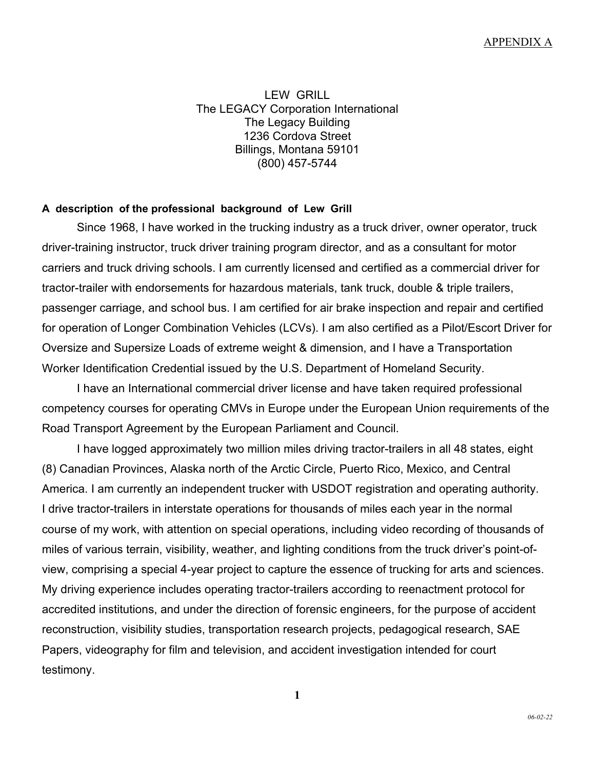LEW GRILL The LEGACY Corporation International The Legacy Building 1236 Cordova Street Billings, Montana 59101 (800) 457-5744

#### **A description of the professional background of Lew Grill**

Since 1968, I have worked in the trucking industry as a truck driver, owner operator, truck driver-training instructor, truck driver training program director, and as a consultant for motor carriers and truck driving schools. I am currently licensed and certified as a commercial driver for tractor-trailer with endorsements for hazardous materials, tank truck, double & triple trailers, passenger carriage, and school bus. I am certified for air brake inspection and repair and certified for operation of Longer Combination Vehicles (LCVs). I am also certified as a Pilot/Escort Driver for Oversize and Supersize Loads of extreme weight & dimension, and I have a Transportation Worker Identification Credential issued by the U.S. Department of Homeland Security.

I have an International commercial driver license and have taken required professional competency courses for operating CMVs in Europe under the European Union requirements of the Road Transport Agreement by the European Parliament and Council.

I have logged approximately two million miles driving tractor-trailers in all 48 states, eight (8) Canadian Provinces, Alaska north of the Arctic Circle, Puerto Rico, Mexico, and Central America. I am currently an independent trucker with USDOT registration and operating authority. I drive tractor-trailers in interstate operations for thousands of miles each year in the normal course of my work, with attention on special operations, including video recording of thousands of miles of various terrain, visibility, weather, and lighting conditions from the truck driver's point-ofview, comprising a special 4-year project to capture the essence of trucking for arts and sciences. My driving experience includes operating tractor-trailers according to reenactment protocol for accredited institutions, and under the direction of forensic engineers, for the purpose of accident reconstruction, visibility studies, transportation research projects, pedagogical research, SAE Papers, videography for film and television, and accident investigation intended for court testimony.

**1**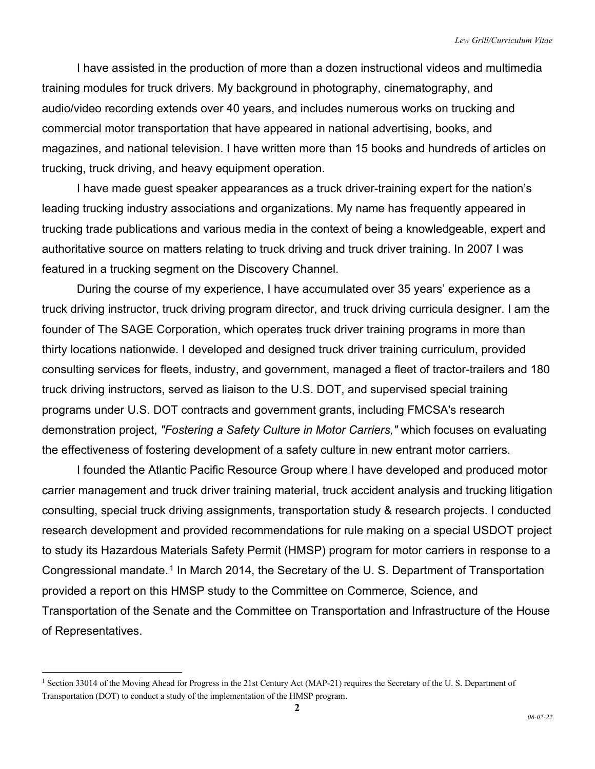I have assisted in the production of more than a dozen instructional videos and multimedia training modules for truck drivers. My background in photography, cinematography, and audio/video recording extends over 40 years, and includes numerous works on trucking and commercial motor transportation that have appeared in national advertising, books, and magazines, and national television. I have written more than 15 books and hundreds of articles on trucking, truck driving, and heavy equipment operation.

I have made guest speaker appearances as a truck driver-training expert for the nation's leading trucking industry associations and organizations. My name has frequently appeared in trucking trade publications and various media in the context of being a knowledgeable, expert and authoritative source on matters relating to truck driving and truck driver training. In 2007 I was featured in a trucking segment on the Discovery Channel.

During the course of my experience, I have accumulated over 35 years' experience as a truck driving instructor, truck driving program director, and truck driving curricula designer. I am the founder of The SAGE Corporation, which operates truck driver training programs in more than thirty locations nationwide. I developed and designed truck driver training curriculum, provided consulting services for fleets, industry, and government, managed a fleet of tractor-trailers and 180 truck driving instructors, served as liaison to the U.S. DOT, and supervised special training programs under U.S. DOT contracts and government grants, including FMCSA's research demonstration project, *"Fostering a Safety Culture in Motor Carriers,"* which focuses on evaluating the effectiveness of fostering development of a safety culture in new entrant motor carriers.

I founded the Atlantic Pacific Resource Group where I have developed and produced motor carrier management and truck driver training material, truck accident analysis and trucking litigation consulting, special truck driving assignments, transportation study & research projects. I conducted research development and provided recommendations for rule making on a special USDOT project to study its Hazardous Materials Safety Permit (HMSP) program for motor carriers in response to a Congressional mandate.<sup>1</sup> In March 2014, the Secretary of the U. S. Department of Transportation provided a report on this HMSP study to the Committee on Commerce, Science, and Transportation of the Senate and the Committee on Transportation and Infrastructure of the House of Representatives.

<sup>&</sup>lt;sup>1</sup> Section 33014 of the Moving Ahead for Progress in the 21st Century Act (MAP-21) requires the Secretary of the U.S. Department of Transportation (DOT) to conduct a study of the implementation of the HMSP program.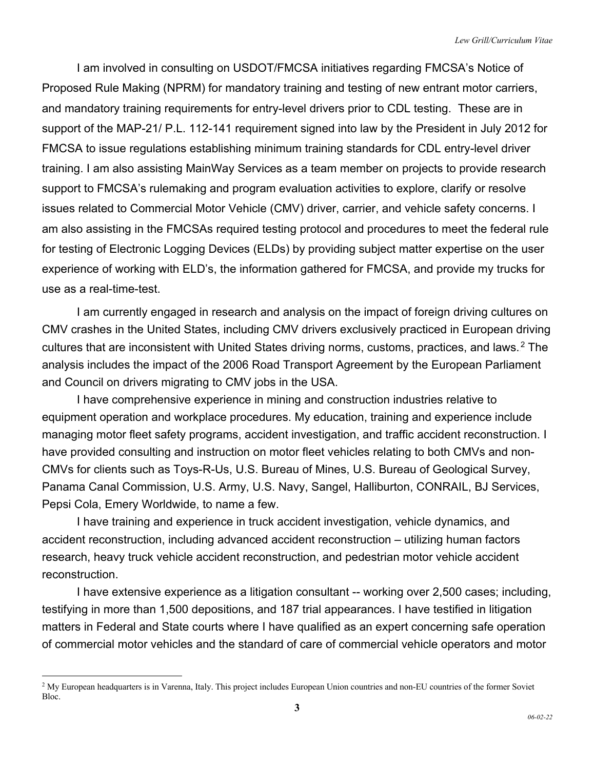I am involved in consulting on USDOT/FMCSA initiatives regarding FMCSA's Notice of Proposed Rule Making (NPRM) for mandatory training and testing of new entrant motor carriers, and mandatory training requirements for entry-level drivers prior to CDL testing. These are in support of the MAP-21/ P.L. 112-141 requirement signed into law by the President in July 2012 for FMCSA to issue regulations establishing minimum training standards for CDL entry-level driver training. I am also assisting MainWay Services as a team member on projects to provide research support to FMCSA's rulemaking and program evaluation activities to explore, clarify or resolve issues related to Commercial Motor Vehicle (CMV) driver, carrier, and vehicle safety concerns. I am also assisting in the FMCSAs required testing protocol and procedures to meet the federal rule for testing of Electronic Logging Devices (ELDs) by providing subject matter expertise on the user experience of working with ELD's, the information gathered for FMCSA, and provide my trucks for use as a real-time-test.

I am currently engaged in research and analysis on the impact of foreign driving cultures on CMV crashes in the United States, including CMV drivers exclusively practiced in European driving cultures that are inconsistent with United States driving norms, customs, practices, and laws.<sup>2</sup> The analysis includes the impact of the 2006 Road Transport Agreement by the European Parliament and Council on drivers migrating to CMV jobs in the USA.

I have comprehensive experience in mining and construction industries relative to equipment operation and workplace procedures. My education, training and experience include managing motor fleet safety programs, accident investigation, and traffic accident reconstruction. I have provided consulting and instruction on motor fleet vehicles relating to both CMVs and non-CMVs for clients such as Toys-R-Us, U.S. Bureau of Mines, U.S. Bureau of Geological Survey, Panama Canal Commission, U.S. Army, U.S. Navy, Sangel, Halliburton, CONRAIL, BJ Services, Pepsi Cola, Emery Worldwide, to name a few.

I have training and experience in truck accident investigation, vehicle dynamics, and accident reconstruction, including advanced accident reconstruction – utilizing human factors research, heavy truck vehicle accident reconstruction, and pedestrian motor vehicle accident reconstruction.

I have extensive experience as a litigation consultant -- working over 2,500 cases; including, testifying in more than 1,500 depositions, and 187 trial appearances. I have testified in litigation matters in Federal and State courts where I have qualified as an expert concerning safe operation of commercial motor vehicles and the standard of care of commercial vehicle operators and motor

 $<sup>2</sup>$  My European headquarters is in Varenna, Italy. This project includes European Union countries and non-EU countries of the former Soviet</sup> Bloc.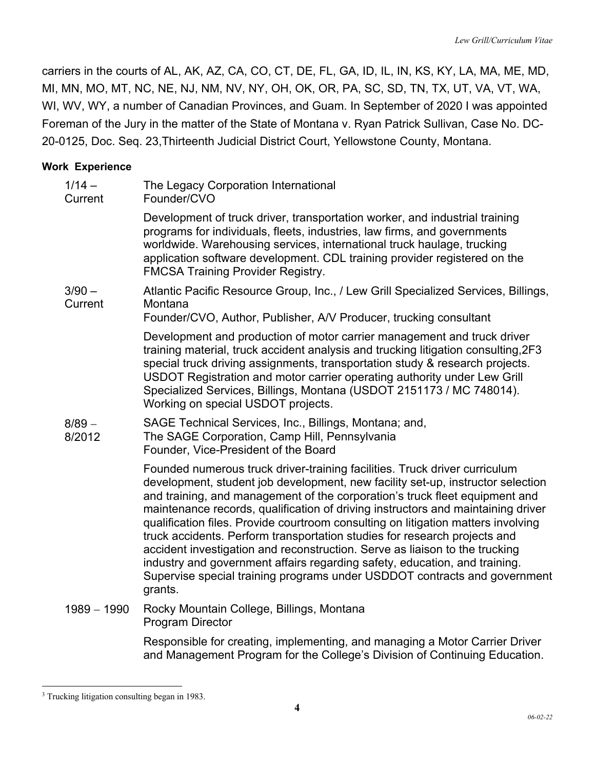carriers in the courts of AL, AK, AZ, CA, CO, CT, DE, FL, GA, ID, IL, IN, KS, KY, LA, MA, ME, MD, MI, MN, MO, MT, NC, NE, NJ, NM, NV, NY, OH, OK, OR, PA, SC, SD, TN, TX, UT, VA, VT, WA, WI, WV, WY, a number of Canadian Provinces, and Guam. In September of 2020 I was appointed Foreman of the Jury in the matter of the State of Montana v. Ryan Patrick Sullivan, Case No. DC-20-0125, Doc. Seq. 23,Thirteenth Judicial District Court, Yellowstone County, Montana.

### **Work Experience**

| $1/14 -$<br>Current | The Legacy Corporation International<br>Founder/CVO                                                                                                                                                                                                                                                                                                                                                                                                                                                                                                                                                                                                                                                                                                     |
|---------------------|---------------------------------------------------------------------------------------------------------------------------------------------------------------------------------------------------------------------------------------------------------------------------------------------------------------------------------------------------------------------------------------------------------------------------------------------------------------------------------------------------------------------------------------------------------------------------------------------------------------------------------------------------------------------------------------------------------------------------------------------------------|
|                     | Development of truck driver, transportation worker, and industrial training<br>programs for individuals, fleets, industries, law firms, and governments<br>worldwide. Warehousing services, international truck haulage, trucking<br>application software development. CDL training provider registered on the<br><b>FMCSA Training Provider Registry.</b>                                                                                                                                                                                                                                                                                                                                                                                              |
| $3/90 -$<br>Current | Atlantic Pacific Resource Group, Inc., / Lew Grill Specialized Services, Billings,<br>Montana<br>Founder/CVO, Author, Publisher, A/V Producer, trucking consultant                                                                                                                                                                                                                                                                                                                                                                                                                                                                                                                                                                                      |
|                     | Development and production of motor carrier management and truck driver<br>training material, truck accident analysis and trucking litigation consulting, 2F3<br>special truck driving assignments, transportation study & research projects.<br>USDOT Registration and motor carrier operating authority under Lew Grill<br>Specialized Services, Billings, Montana (USDOT 2151173 / MC 748014).<br>Working on special USDOT projects.                                                                                                                                                                                                                                                                                                                 |
| $8/89 -$<br>8/2012  | SAGE Technical Services, Inc., Billings, Montana; and,<br>The SAGE Corporation, Camp Hill, Pennsylvania<br>Founder, Vice-President of the Board                                                                                                                                                                                                                                                                                                                                                                                                                                                                                                                                                                                                         |
|                     | Founded numerous truck driver-training facilities. Truck driver curriculum<br>development, student job development, new facility set-up, instructor selection<br>and training, and management of the corporation's truck fleet equipment and<br>maintenance records, qualification of driving instructors and maintaining driver<br>qualification files. Provide courtroom consulting on litigation matters involving<br>truck accidents. Perform transportation studies for research projects and<br>accident investigation and reconstruction. Serve as liaison to the trucking<br>industry and government affairs regarding safety, education, and training.<br>Supervise special training programs under USDDOT contracts and government<br>grants. |
| $1989 - 1990$       | Rocky Mountain College, Billings, Montana<br><b>Program Director</b>                                                                                                                                                                                                                                                                                                                                                                                                                                                                                                                                                                                                                                                                                    |

Responsible for creating, implementing, and managing a Motor Carrier Driver and Management Program for the College's Division of Continuing Education.

<sup>&</sup>lt;sup>3</sup> Trucking litigation consulting began in 1983.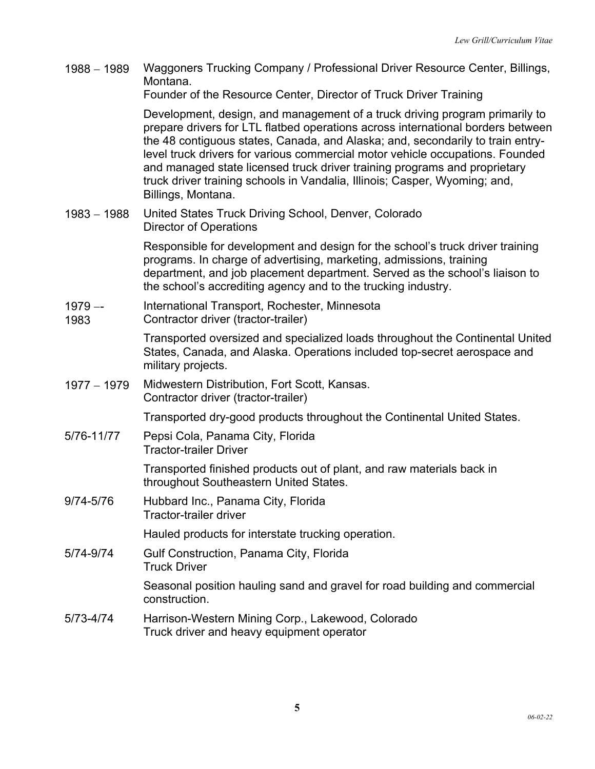1988 – 1989 Waggoners Trucking Company / Professional Driver Resource Center, Billings, Montana.

Founder of the Resource Center, Director of Truck Driver Training

Development, design, and management of a truck driving program primarily to prepare drivers for LTL flatbed operations across international borders between the 48 contiguous states, Canada, and Alaska; and, secondarily to train entrylevel truck drivers for various commercial motor vehicle occupations. Founded and managed state licensed truck driver training programs and proprietary truck driver training schools in Vandalia, Illinois; Casper, Wyoming; and, Billings, Montana.

1983 - 1988 United States Truck Driving School, Denver, Colorado Director of Operations

> Responsible for development and design for the school's truck driver training programs. In charge of advertising, marketing, admissions, training department, and job placement department. Served as the school's liaison to the school's accrediting agency and to the trucking industry.

- $1979 -$ International Transport, Rochester, Minnesota
- 1983 Contractor driver (tractor-trailer)

Transported oversized and specialized loads throughout the Continental United States, Canada, and Alaska. Operations included top-secret aerospace and military projects.

1977 - 1979 Midwestern Distribution, Fort Scott, Kansas. Contractor driver (tractor-trailer)

Transported dry-good products throughout the Continental United States.

5/76-11/77 Pepsi Cola, Panama City, Florida Tractor-trailer Driver

> Transported finished products out of plant, and raw materials back in throughout Southeastern United States.

9/74-5/76 Hubbard Inc., Panama City, Florida Tractor-trailer driver

Hauled products for interstate trucking operation.

5/74-9/74 Gulf Construction, Panama City, Florida Truck Driver

> Seasonal position hauling sand and gravel for road building and commercial construction.

5/73-4/74 Harrison-Western Mining Corp., Lakewood, Colorado Truck driver and heavy equipment operator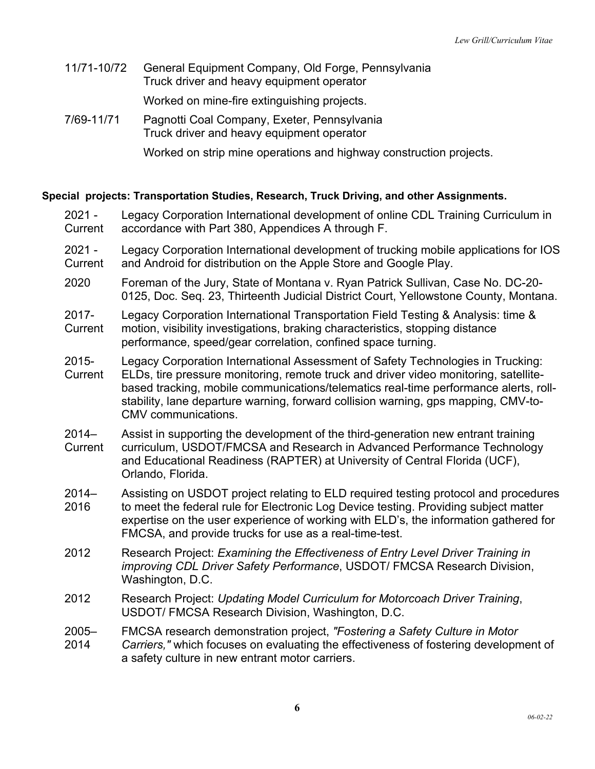11/71-10/72 General Equipment Company, Old Forge, Pennsylvania Truck driver and heavy equipment operator

Worked on mine-fire extinguishing projects.

7/69-11/71 Pagnotti Coal Company, Exeter, Pennsylvania Truck driver and heavy equipment operator

Worked on strip mine operations and highway construction projects.

### **Special projects: Transportation Studies, Research, Truck Driving, and other Assignments.**

- 2021 **Current** Legacy Corporation International development of online CDL Training Curriculum in accordance with Part 380, Appendices A through F.
- 2021 **Current** Legacy Corporation International development of trucking mobile applications for IOS and Android for distribution on the Apple Store and Google Play.
- 2020 Foreman of the Jury, State of Montana v. Ryan Patrick Sullivan, Case No. DC-20- 0125, Doc. Seq. 23, Thirteenth Judicial District Court, Yellowstone County, Montana.
- 2017- Legacy Corporation International Transportation Field Testing & Analysis: time &

**Current** motion, visibility investigations, braking characteristics, stopping distance performance, speed/gear correlation, confined space turning.

- 2015- Legacy Corporation International Assessment of Safety Technologies in Trucking:
- **Current** ELDs, tire pressure monitoring, remote truck and driver video monitoring, satellitebased tracking, mobile communications/telematics real-time performance alerts, rollstability, lane departure warning, forward collision warning, gps mapping, CMV-to-CMV communications.
- 2014– **Current** Assist in supporting the development of the third-generation new entrant training curriculum, USDOT/FMCSA and Research in Advanced Performance Technology and Educational Readiness (RAPTER) at University of Central Florida (UCF), Orlando, Florida.
- 2014– Assisting on USDOT project relating to ELD required testing protocol and procedures
- 2016 to meet the federal rule for Electronic Log Device testing. Providing subject matter expertise on the user experience of working with ELD's, the information gathered for FMCSA, and provide trucks for use as a real-time-test.
- 2012 Research Project: *Examining the Effectiveness of Entry Level Driver Training in improving CDL Driver Safety Performance*, USDOT/ FMCSA Research Division, Washington, D.C.
- 2012 Research Project: *Updating Model Curriculum for Motorcoach Driver Training*, USDOT/ FMCSA Research Division, Washington, D.C.
- 2005– 2014 FMCSA research demonstration project, *"Fostering a Safety Culture in Motor Carriers,"* which focuses on evaluating the effectiveness of fostering development of a safety culture in new entrant motor carriers.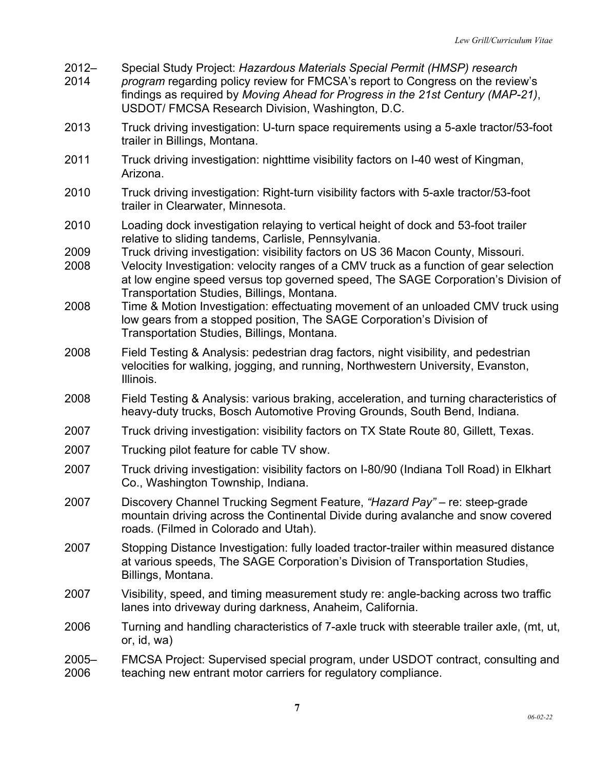2012– Special Study Project: *Hazardous Materials Special Permit (HMSP) research* 

- 2014 *program* regarding policy review for FMCSA's report to Congress on the review's findings as required by *Moving Ahead for Progress in the 21st Century (MAP-21)*, USDOT/ FMCSA Research Division, Washington, D.C.
- 2013 Truck driving investigation: U-turn space requirements using a 5-axle tractor/53-foot trailer in Billings, Montana.
- 2011 Truck driving investigation: nighttime visibility factors on I-40 west of Kingman, Arizona.
- 2010 Truck driving investigation: Right-turn visibility factors with 5-axle tractor/53-foot trailer in Clearwater, Minnesota.
- 2010 Loading dock investigation relaying to vertical height of dock and 53-foot trailer relative to sliding tandems, Carlisle, Pennsylvania.
- 2009 Truck driving investigation: visibility factors on US 36 Macon County, Missouri.
- 2008 Velocity Investigation: velocity ranges of a CMV truck as a function of gear selection at low engine speed versus top governed speed, The SAGE Corporation's Division of Transportation Studies, Billings, Montana.
- 2008 Time & Motion Investigation: effectuating movement of an unloaded CMV truck using low gears from a stopped position, The SAGE Corporation's Division of Transportation Studies, Billings, Montana.
- 2008 Field Testing & Analysis: pedestrian drag factors, night visibility, and pedestrian velocities for walking, jogging, and running, Northwestern University, Evanston, Illinois.
- 2008 Field Testing & Analysis: various braking, acceleration, and turning characteristics of heavy-duty trucks, Bosch Automotive Proving Grounds, South Bend, Indiana.
- 2007 Truck driving investigation: visibility factors on TX State Route 80, Gillett, Texas.
- 2007 Trucking pilot feature for cable TV show.
- 2007 Truck driving investigation: visibility factors on I-80/90 (Indiana Toll Road) in Elkhart Co., Washington Township, Indiana.
- 2007 Discovery Channel Trucking Segment Feature, *"Hazard Pay"*  re: steep-grade mountain driving across the Continental Divide during avalanche and snow covered roads. (Filmed in Colorado and Utah).
- 2007 Stopping Distance Investigation: fully loaded tractor-trailer within measured distance at various speeds, The SAGE Corporation's Division of Transportation Studies, Billings, Montana.
- 2007 Visibility, speed, and timing measurement study re: angle-backing across two traffic lanes into driveway during darkness, Anaheim, California.
- 2006 Turning and handling characteristics of 7-axle truck with steerable trailer axle, (mt, ut, or, id, wa)
- 2005– 2006 FMCSA Project: Supervised special program, under USDOT contract, consulting and teaching new entrant motor carriers for regulatory compliance.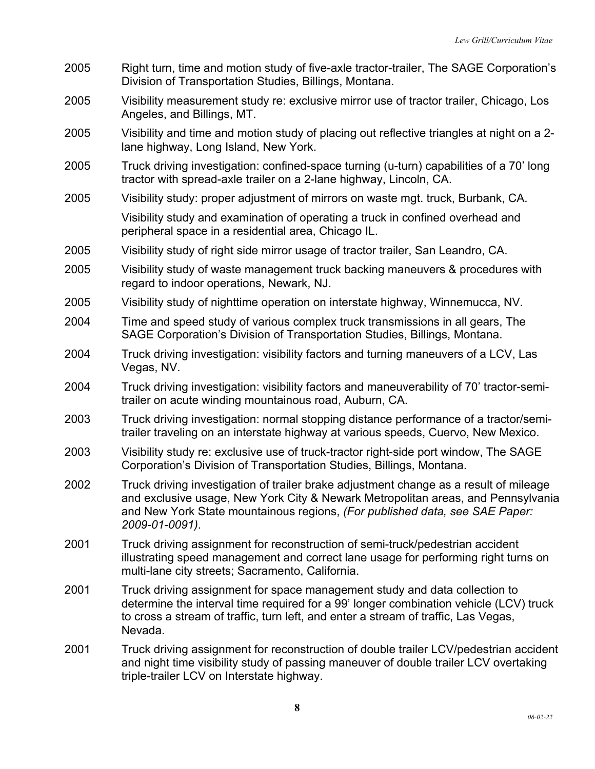- 2005 Right turn, time and motion study of five-axle tractor-trailer, The SAGE Corporation's Division of Transportation Studies, Billings, Montana.
- 2005 Visibility measurement study re: exclusive mirror use of tractor trailer, Chicago, Los Angeles, and Billings, MT.
- 2005 Visibility and time and motion study of placing out reflective triangles at night on a 2 lane highway, Long Island, New York.
- 2005 Truck driving investigation: confined-space turning (u-turn) capabilities of a 70' long tractor with spread-axle trailer on a 2-lane highway, Lincoln, CA.
- 2005 Visibility study: proper adjustment of mirrors on waste mgt. truck, Burbank, CA.

Visibility study and examination of operating a truck in confined overhead and peripheral space in a residential area, Chicago IL.

- 2005 Visibility study of right side mirror usage of tractor trailer, San Leandro, CA.
- 2005 Visibility study of waste management truck backing maneuvers & procedures with regard to indoor operations, Newark, NJ.
- 2005 Visibility study of nighttime operation on interstate highway, Winnemucca, NV.
- 2004 Time and speed study of various complex truck transmissions in all gears, The SAGE Corporation's Division of Transportation Studies, Billings, Montana.
- 2004 Truck driving investigation: visibility factors and turning maneuvers of a LCV, Las Vegas, NV.
- 2004 Truck driving investigation: visibility factors and maneuverability of 70' tractor-semitrailer on acute winding mountainous road, Auburn, CA.
- 2003 Truck driving investigation: normal stopping distance performance of a tractor/semitrailer traveling on an interstate highway at various speeds, Cuervo, New Mexico.
- 2003 Visibility study re: exclusive use of truck-tractor right-side port window, The SAGE Corporation's Division of Transportation Studies, Billings, Montana.
- 2002 Truck driving investigation of trailer brake adjustment change as a result of mileage and exclusive usage, New York City & Newark Metropolitan areas, and Pennsylvania and New York State mountainous regions, *(For published data, see SAE Paper: 2009-01-0091)*.
- 2001 Truck driving assignment for reconstruction of semi-truck/pedestrian accident illustrating speed management and correct lane usage for performing right turns on multi-lane city streets; Sacramento, California.
- 2001 Truck driving assignment for space management study and data collection to determine the interval time required for a 99' longer combination vehicle (LCV) truck to cross a stream of traffic, turn left, and enter a stream of traffic, Las Vegas, Nevada.
- 2001 Truck driving assignment for reconstruction of double trailer LCV/pedestrian accident and night time visibility study of passing maneuver of double trailer LCV overtaking triple-trailer LCV on Interstate highway.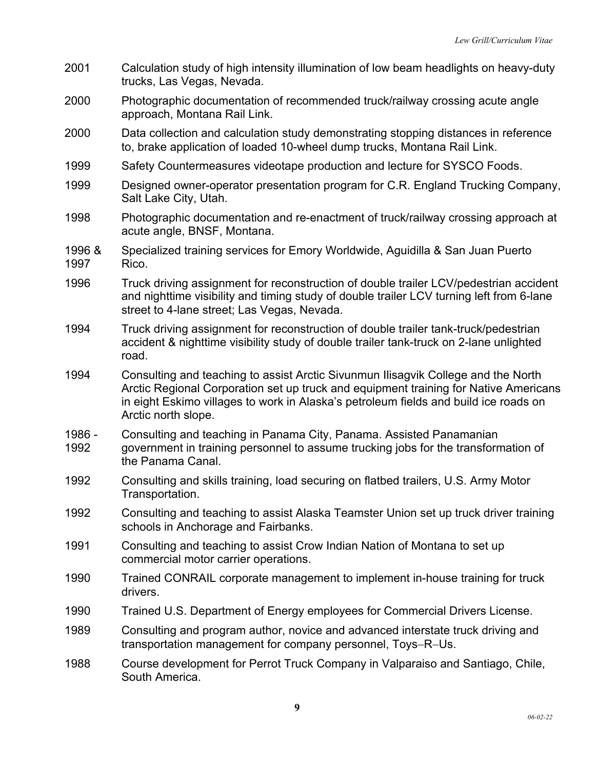2001 Calculation study of high intensity illumination of low beam headlights on heavy-duty trucks, Las Vegas, Nevada. 2000 Photographic documentation of recommended truck/railway crossing acute angle approach, Montana Rail Link. 2000 Data collection and calculation study demonstrating stopping distances in reference to, brake application of loaded 10-wheel dump trucks, Montana Rail Link. 1999 Safety Countermeasures videotape production and lecture for SYSCO Foods. 1999 Designed owner-operator presentation program for C.R. England Trucking Company, Salt Lake City, Utah. 1998 Photographic documentation and re-enactment of truck/railway crossing approach at acute angle, BNSF, Montana. 1996 & 1997 Specialized training services for Emory Worldwide, Aguidilla & San Juan Puerto Rico. 1996 Truck driving assignment for reconstruction of double trailer LCV/pedestrian accident and nighttime visibility and timing study of double trailer LCV turning left from 6-lane street to 4-lane street; Las Vegas, Nevada. 1994 Truck driving assignment for reconstruction of double trailer tank-truck/pedestrian accident & nighttime visibility study of double trailer tank-truck on 2-lane unlighted road. 1994 Consulting and teaching to assist Arctic Sivunmun Ilisagvik College and the North Arctic Regional Corporation set up truck and equipment training for Native Americans in eight Eskimo villages to work in Alaska's petroleum fields and build ice roads on Arctic north slope. 1986 - 1992 Consulting and teaching in Panama City, Panama. Assisted Panamanian government in training personnel to assume trucking jobs for the transformation of the Panama Canal. 1992 Consulting and skills training, load securing on flatbed trailers, U.S. Army Motor Transportation. 1992 Consulting and teaching to assist Alaska Teamster Union set up truck driver training schools in Anchorage and Fairbanks. 1991 Consulting and teaching to assist Crow Indian Nation of Montana to set up commercial motor carrier operations. 1990 Trained CONRAIL corporate management to implement in-house training for truck drivers. 1990 Trained U.S. Department of Energy employees for Commercial Drivers License. 1989 Consulting and program author, novice and advanced interstate truck driving and transportation management for company personnel, Toys-R-Us. 1988 Course development for Perrot Truck Company in Valparaiso and Santiago, Chile, South America.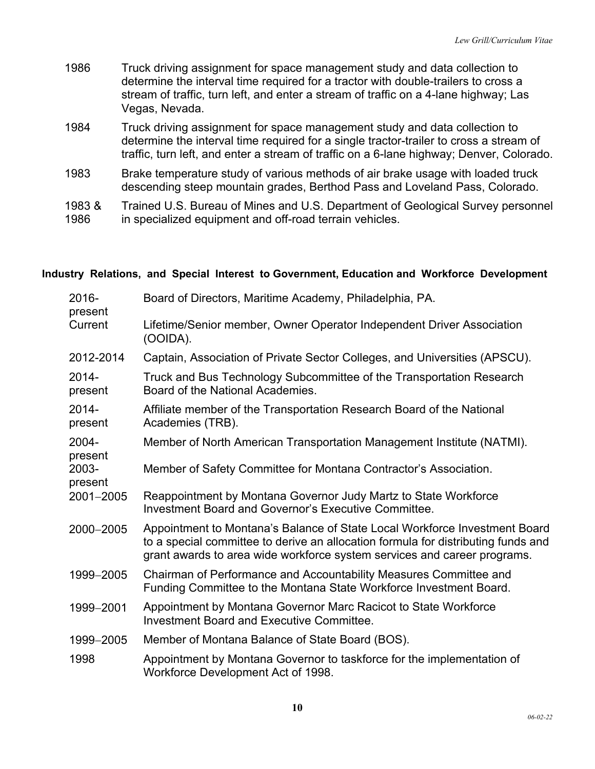| 1986 | Truck driving assignment for space management study and data collection to<br>determine the interval time required for a tractor with double-trailers to cross a<br>stream of traffic, turn left, and enter a stream of traffic on a 4-lane highway; Las<br>Vegas, Nevada. |
|------|----------------------------------------------------------------------------------------------------------------------------------------------------------------------------------------------------------------------------------------------------------------------------|
| 1984 | Truck driving assignment for space management study and data collection to<br>determine the interval time required for a single tractor-trailer to cross a stream of                                                                                                       |

- determine the interval time required for a single tractor-trailer to cross a stream of traffic, turn left, and enter a stream of traffic on a 6-lane highway; Denver, Colorado.
- 1983 Brake temperature study of various methods of air brake usage with loaded truck descending steep mountain grades, Berthod Pass and Loveland Pass, Colorado.
- 1983 & 1986 Trained U.S. Bureau of Mines and U.S. Department of Geological Survey personnel in specialized equipment and off-road terrain vehicles.

# **Industry Relations, and Special Interest to Government, Education and Workforce Development**

| 2016-<br>present    | Board of Directors, Maritime Academy, Philadelphia, PA.                                                                                                                                                                                     |
|---------------------|---------------------------------------------------------------------------------------------------------------------------------------------------------------------------------------------------------------------------------------------|
| Current             | Lifetime/Senior member, Owner Operator Independent Driver Association<br>(OOIDA).                                                                                                                                                           |
| 2012-2014           | Captain, Association of Private Sector Colleges, and Universities (APSCU).                                                                                                                                                                  |
| $2014 -$<br>present | Truck and Bus Technology Subcommittee of the Transportation Research<br>Board of the National Academies.                                                                                                                                    |
| $2014 -$<br>present | Affiliate member of the Transportation Research Board of the National<br>Academies (TRB).                                                                                                                                                   |
| 2004-<br>present    | Member of North American Transportation Management Institute (NATMI).                                                                                                                                                                       |
| 2003-<br>present    | Member of Safety Committee for Montana Contractor's Association.                                                                                                                                                                            |
| 2001-2005           | Reappointment by Montana Governor Judy Martz to State Workforce<br>Investment Board and Governor's Executive Committee.                                                                                                                     |
| 2000-2005           | Appointment to Montana's Balance of State Local Workforce Investment Board<br>to a special committee to derive an allocation formula for distributing funds and<br>grant awards to area wide workforce system services and career programs. |
| 1999-2005           | Chairman of Performance and Accountability Measures Committee and<br>Funding Committee to the Montana State Workforce Investment Board.                                                                                                     |
| 1999-2001           | Appointment by Montana Governor Marc Racicot to State Workforce<br><b>Investment Board and Executive Committee.</b>                                                                                                                         |
| 1999-2005           | Member of Montana Balance of State Board (BOS).                                                                                                                                                                                             |
| 1998                | Appointment by Montana Governor to taskforce for the implementation of<br>Workforce Development Act of 1998.                                                                                                                                |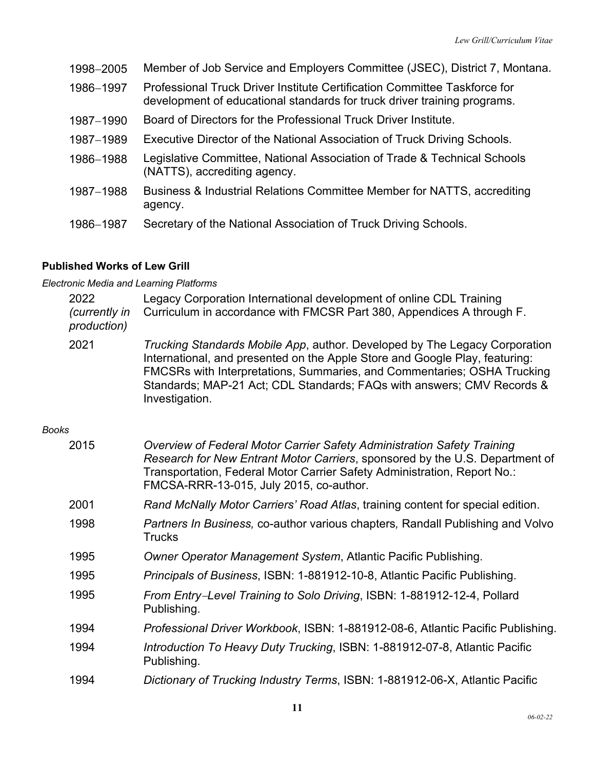| 1998-2005 | Member of Job Service and Employers Committee (JSEC), District 7, Montana.                                                                            |
|-----------|-------------------------------------------------------------------------------------------------------------------------------------------------------|
| 1986-1997 | Professional Truck Driver Institute Certification Committee Taskforce for<br>development of educational standards for truck driver training programs. |
| 1987-1990 | Board of Directors for the Professional Truck Driver Institute.                                                                                       |
| 1987-1989 | Executive Director of the National Association of Truck Driving Schools.                                                                              |
| 1986-1988 | Legislative Committee, National Association of Trade & Technical Schools<br>(NATTS), accrediting agency.                                              |
| 1987-1988 | Business & Industrial Relations Committee Member for NATTS, accrediting<br>agency.                                                                    |
| 1986-1987 | Secretary of the National Association of Truck Driving Schools.                                                                                       |

### **Published Works of Lew Grill**

*Electronic Media and Learning Platforms*

|              | 2022<br>(currently in<br>production) | Legacy Corporation International development of online CDL Training<br>Curriculum in accordance with FMCSR Part 380, Appendices A through F.                                                                                                                                                                                            |
|--------------|--------------------------------------|-----------------------------------------------------------------------------------------------------------------------------------------------------------------------------------------------------------------------------------------------------------------------------------------------------------------------------------------|
|              | 2021                                 | <i>Trucking Standards Mobile App, author. Developed by The Legacy Corporation</i><br>International, and presented on the Apple Store and Google Play, featuring:<br>FMCSRs with Interpretations, Summaries, and Commentaries; OSHA Trucking<br>Standards; MAP-21 Act; CDL Standards; FAQs with answers; CMV Records &<br>Investigation. |
| <b>Books</b> |                                      |                                                                                                                                                                                                                                                                                                                                         |
|              | 2015                                 | Overview of Federal Motor Carrier Safety Administration Safety Training<br>Research for New Entrant Motor Carriers, sponsored by the U.S. Department of<br>Transportation, Federal Motor Carrier Safety Administration, Report No.:<br>FMCSA-RRR-13-015, July 2015, co-author.                                                          |
|              | 2001                                 | Rand McNally Motor Carriers' Road Atlas, training content for special edition.                                                                                                                                                                                                                                                          |
|              | 1998                                 | <i>Partners In Business, co-author various chapters, Randall Publishing and Volvo</i><br><b>Trucks</b>                                                                                                                                                                                                                                  |
|              | 1995                                 | Owner Operator Management System, Atlantic Pacific Publishing.                                                                                                                                                                                                                                                                          |

- 1995 *Principals of Business*, ISBN: 1-881912-10-8, Atlantic Pacific Publishing.
- 1995 *From Entry*-*Level Training to Solo Driving*, ISBN: 1-881912-12-4, Pollard Publishing.
- 1994 *Professional Driver Workbook*, ISBN: 1-881912-08-6, Atlantic Pacific Publishing.
- 1994 *Introduction To Heavy Duty Trucking*, ISBN: 1-881912-07-8, Atlantic Pacific Publishing.
- 1994 *Dictionary of Trucking Industry Terms*, ISBN: 1-881912-06-X, Atlantic Pacific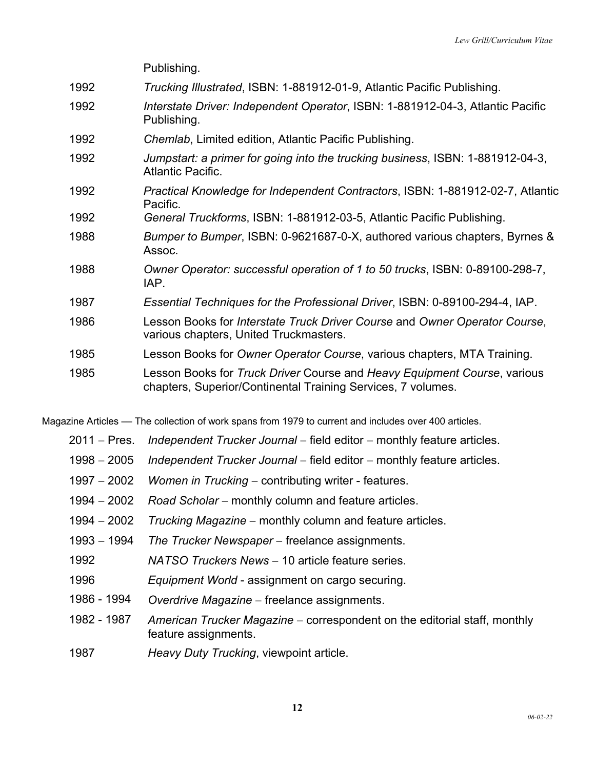|      | Publishing.                                                                                                                              |
|------|------------------------------------------------------------------------------------------------------------------------------------------|
| 1992 | Trucking Illustrated, ISBN: 1-881912-01-9, Atlantic Pacific Publishing.                                                                  |
| 1992 | Interstate Driver: Independent Operator, ISBN: 1-881912-04-3, Atlantic Pacific<br>Publishing.                                            |
| 1992 | Chemlab, Limited edition, Atlantic Pacific Publishing.                                                                                   |
| 1992 | Jumpstart: a primer for going into the trucking business, ISBN: 1-881912-04-3,<br><b>Atlantic Pacific.</b>                               |
| 1992 | Practical Knowledge for Independent Contractors, ISBN: 1-881912-02-7, Atlantic<br>Pacific.                                               |
| 1992 | General Truckforms, ISBN: 1-881912-03-5, Atlantic Pacific Publishing.                                                                    |
| 1988 | Bumper to Bumper, ISBN: 0-9621687-0-X, authored various chapters, Byrnes &<br>Assoc.                                                     |
| 1988 | Owner Operator: successful operation of 1 to 50 trucks, ISBN: 0-89100-298-7,<br>IAP.                                                     |
| 1987 | Essential Techniques for the Professional Driver, ISBN: 0-89100-294-4, IAP.                                                              |
| 1986 | Lesson Books for Interstate Truck Driver Course and Owner Operator Course,<br>various chapters, United Truckmasters.                     |
| 1985 | Lesson Books for Owner Operator Course, various chapters, MTA Training.                                                                  |
| 1985 | Lesson Books for Truck Driver Course and Heavy Equipment Course, various<br>chapters, Superior/Continental Training Services, 7 volumes. |

Magazine Articles — The collection of work spans from 1979 to current and includes over 400 articles.

- 2011 Pres. *Independent Trucker Journal* field editor monthly feature articles.
- 1998 2005 *Independent Trucker Journal* field editor monthly feature articles.
- 1997 2002 *Women in Trucking* contributing writer features.
- 1994 2002 *Road Scholar* monthly column and feature articles.
- 1994 2002 *Trucking Magazine* monthly column and feature articles.
- 1993 1994 *The Trucker Newspaper* freelance assignments.
- 1992 *NATSO Truckers News* 10 article feature series.
- 1996 *Equipment World* assignment on cargo securing.
- 1986 1994 *Overdrive Magazine* freelance assignments.
- 1982 1987 *American Trucker Magazine* correspondent on the editorial staff, monthly feature assignments.
- 1987 *Heavy Duty Trucking*, viewpoint article.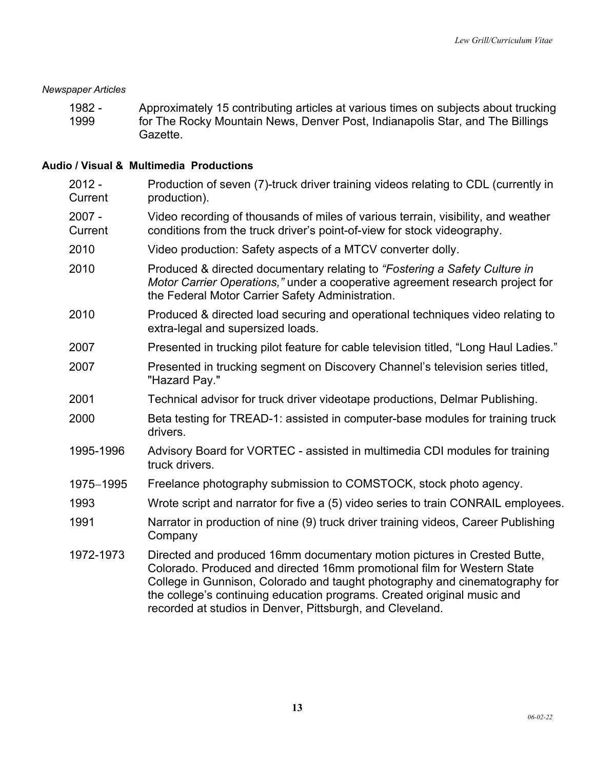#### *Newspaper Articles*

1982 - 1999 Approximately 15 contributing articles at various times on subjects about trucking for The Rocky Mountain News, Denver Post, Indianapolis Star, and The Billings Gazette.

#### **Audio / Visual & Multimedia Productions**

| $2012 -$<br>Current | Production of seven (7)-truck driver training videos relating to CDL (currently in<br>production).                                                                                                                                                                                                                                                                         |
|---------------------|----------------------------------------------------------------------------------------------------------------------------------------------------------------------------------------------------------------------------------------------------------------------------------------------------------------------------------------------------------------------------|
| $2007 -$<br>Current | Video recording of thousands of miles of various terrain, visibility, and weather<br>conditions from the truck driver's point-of-view for stock videography.                                                                                                                                                                                                               |
| 2010                | Video production: Safety aspects of a MTCV converter dolly.                                                                                                                                                                                                                                                                                                                |
| 2010                | Produced & directed documentary relating to "Fostering a Safety Culture in<br>Motor Carrier Operations," under a cooperative agreement research project for<br>the Federal Motor Carrier Safety Administration.                                                                                                                                                            |
| 2010                | Produced & directed load securing and operational techniques video relating to<br>extra-legal and supersized loads.                                                                                                                                                                                                                                                        |
| 2007                | Presented in trucking pilot feature for cable television titled, "Long Haul Ladies."                                                                                                                                                                                                                                                                                       |
| 2007                | Presented in trucking segment on Discovery Channel's television series titled,<br>"Hazard Pay."                                                                                                                                                                                                                                                                            |
| 2001                | Technical advisor for truck driver videotape productions, Delmar Publishing.                                                                                                                                                                                                                                                                                               |
| 2000                | Beta testing for TREAD-1: assisted in computer-base modules for training truck<br>drivers.                                                                                                                                                                                                                                                                                 |
| 1995-1996           | Advisory Board for VORTEC - assisted in multimedia CDI modules for training<br>truck drivers.                                                                                                                                                                                                                                                                              |
| 1975-1995           | Freelance photography submission to COMSTOCK, stock photo agency.                                                                                                                                                                                                                                                                                                          |
| 1993                | Wrote script and narrator for five a (5) video series to train CONRAIL employees.                                                                                                                                                                                                                                                                                          |
| 1991                | Narrator in production of nine (9) truck driver training videos, Career Publishing<br>Company                                                                                                                                                                                                                                                                              |
| 1972-1973           | Directed and produced 16mm documentary motion pictures in Crested Butte,<br>Colorado. Produced and directed 16mm promotional film for Western State<br>College in Gunnison, Colorado and taught photography and cinematography for<br>the college's continuing education programs. Created original music and<br>recorded at studios in Denver, Pittsburgh, and Cleveland. |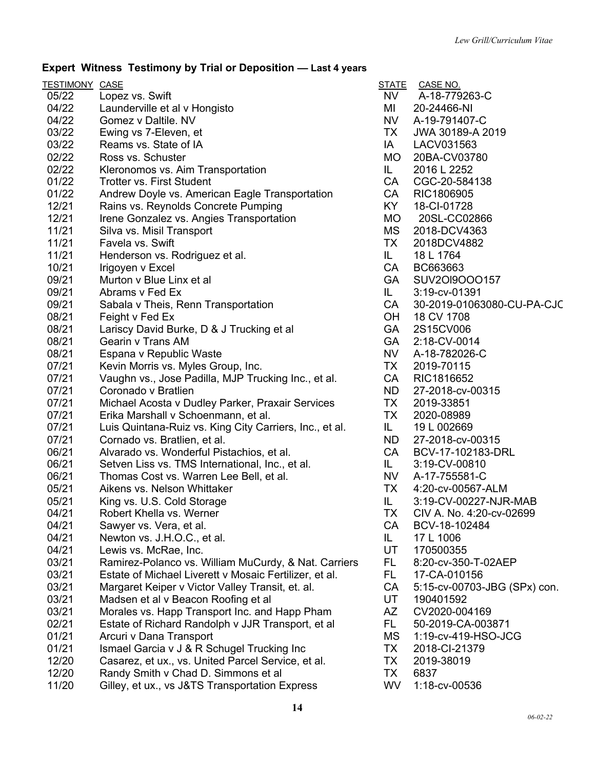# **Expert Witness Testimony by Trial or Deposition –– Last 4 years**

| <b>TESTIMONY CASE</b> |                                                         | <b>STATE</b> | CASE NO.                     |
|-----------------------|---------------------------------------------------------|--------------|------------------------------|
| 05/22                 | Lopez vs. Swift                                         | NV -         | A-18-779263-C                |
| 04/22                 | Launderville et al v Hongisto                           | MI           | 20-24466-NI                  |
| 04/22                 | Gomez v Daltile. NV                                     | <b>NV</b>    | A-19-791407-C                |
| 03/22                 | Ewing vs 7-Eleven, et                                   | TX           | JWA 30189-A 2019             |
| 03/22                 | Reams vs. State of IA                                   | IA           | LACV031563                   |
| 02/22                 | Ross vs. Schuster                                       | <b>MO</b>    | 20BA-CV03780                 |
| 02/22                 | Kleronomos vs. Aim Transportation                       | IL.          | 2016 L 2252                  |
| 01/22                 | <b>Trotter vs. First Student</b>                        | CA           | CGC-20-584138                |
| 01/22                 | Andrew Doyle vs. American Eagle Transportation          | CA           | RIC1806905                   |
| 12/21                 | Rains vs. Reynolds Concrete Pumping                     | KY.          | 18-CI-01728                  |
| 12/21                 | Irene Gonzalez vs. Angies Transportation                | <b>MO</b>    | 20SL-CC02866                 |
| 11/21                 | Silva vs. Misil Transport                               | MS           | 2018-DCV4363                 |
| 11/21                 | Favela vs. Swift                                        | TX           | 2018DCV4882                  |
| 11/21                 | Henderson vs. Rodriguez et al.                          | IL.          | 18 L 1764                    |
| 10/21                 | Irigoyen v Excel                                        | CA           | BC663663                     |
| 09/21                 | Murton v Blue Linx et al                                | <b>GA</b>    | SUV20I9O00157                |
| 09/21                 | Abrams v Fed Ex                                         | IL.          | 3:19-cv-01391                |
| 09/21                 | Sabala v Theis, Renn Transportation                     | CA           | 30-2019-01063080-CU-PA-CJC   |
| 08/21                 | Feight v Fed Ex                                         | OH           | 18 CV 1708                   |
| 08/21                 | Lariscy David Burke, D & J Trucking et al               | <b>GA</b>    | 2S15CV006                    |
| 08/21                 | Gearin v Trans AM                                       | GA           | 2:18-CV-0014                 |
| 08/21                 | Espana v Republic Waste                                 | NV           | A-18-782026-C                |
| 07/21                 | Kevin Morris vs. Myles Group, Inc.                      | TX           | 2019-70115                   |
| 07/21                 | Vaughn vs., Jose Padilla, MJP Trucking Inc., et al.     | CA           | RIC1816652                   |
| 07/21                 | Coronado v Bratlien                                     | <b>ND</b>    | 27-2018-cv-00315             |
| 07/21                 | Michael Acosta v Dudley Parker, Praxair Services        | TX           | 2019-33851                   |
| 07/21                 | Erika Marshall v Schoenmann, et al.                     | TX           | 2020-08989                   |
| 07/21                 | Luis Quintana-Ruiz vs. King City Carriers, Inc., et al. | IL.          | 19 L 002669                  |
| 07/21                 | Cornado vs. Bratlien, et al.                            | <b>ND</b>    | 27-2018-cv-00315             |
| 06/21                 | Alvarado vs. Wonderful Pistachios, et al.               | CA           | BCV-17-102183-DRL            |
| 06/21                 | Setven Liss vs. TMS International, Inc., et al.         | IL.          | 3:19-CV-00810                |
| 06/21                 | Thomas Cost vs. Warren Lee Bell, et al.                 | <b>NV</b>    | A-17-755581-C                |
| 05/21                 | Aikens vs. Nelson Whittaker                             | TX           | 4:20-cv-00567-ALM            |
| 05/21                 | King vs. U.S. Cold Storage                              | IL.          | 3:19-CV-00227-NJR-MAB        |
| 04/21                 | Robert Khella vs. Werner                                | ТX           | CIV A. No. 4:20-cv-02699     |
| 04/21                 | Sawyer vs. Vera, et al.                                 | <b>CA</b>    | BCV-18-102484                |
| 04/21                 | Newton vs. J.H.O.C., et al.                             | IL.          | 17 L 1006                    |
| 04/21                 | Lewis vs. McRae, Inc.                                   | UT           | 170500355                    |
| 03/21                 | Ramirez-Polanco vs. William MuCurdy, & Nat. Carriers    | FL.          | 8:20-cv-350-T-02AEP          |
| 03/21                 | Estate of Michael Liverett v Mosaic Fertilizer, et al.  | FL.          | 17-CA-010156                 |
| 03/21                 | Margaret Keiper v Victor Valley Transit, et. al.        | CA           | 5:15-cv-00703-JBG (SPx) con. |
| 03/21                 | Madsen et al v Beacon Roofing et al                     | UT           | 190401592                    |
| 03/21                 | Morales vs. Happ Transport Inc. and Happ Pham           | AZ           | CV2020-004169                |
| 02/21                 | Estate of Richard Randolph v JJR Transport, et al       | FL.          | 50-2019-CA-003871            |
| 01/21                 | Arcuri v Dana Transport                                 | <b>MS</b>    | 1:19-cv-419-HSO-JCG          |
| 01/21                 | Ismael Garcia v J & R Schugel Trucking Inc              | ТX           | 2018-CI-21379                |
| 12/20                 | Casarez, et ux., vs. United Parcel Service, et al.      | ТX           | 2019-38019                   |
| 12/20                 | Randy Smith v Chad D. Simmons et al                     | TX           | 6837                         |
| 11/20                 | Gilley, et ux., vs J&TS Transportation Express          | WV           | 1:18-cv-00536                |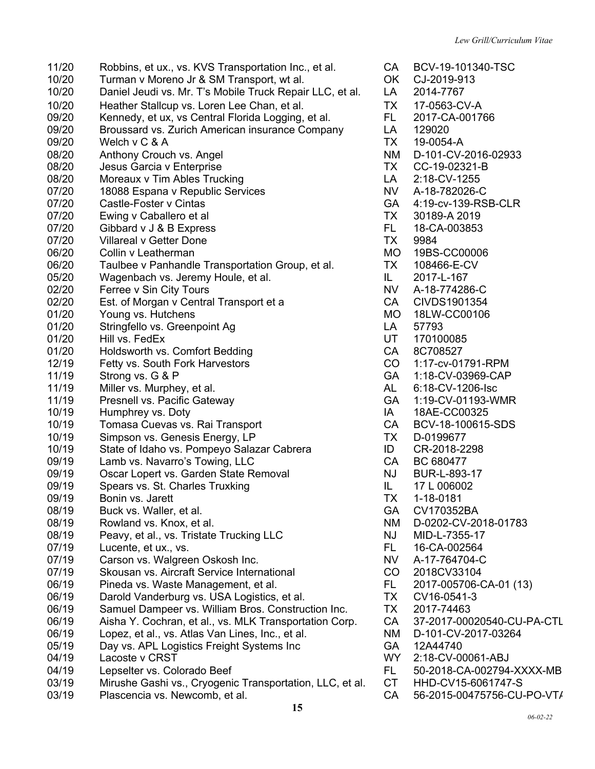11/20 Robbins, et ux., vs. KVS Transportation Inc., et al. CA BCV-19-101340-TSC 10/20 Turman v Moreno Jr & SM Transport, wt al. OK CJ-2019-913 10/20 Daniel Jeudi vs. Mr. T's Mobile Truck Repair LLC, et al. LA 2014-7767 10/20 Heather Stallcup vs. Loren Lee Chan, et al. TX 17-0563-CV-A 09/20 Kennedy, et ux, vs Central Florida Logging, et al. FL 2017-CA-001766 09/20 Broussard vs. Zurich American insurance Company LA 129020 09/20 Welch v C & A TX 19-0054-A 08/20 Anthony Crouch vs. Angel NM D-101-CV-2016-02933 08/20 Jesus Garcia v Enterprise TX CC-19-02321-B 08/20 Moreaux v Tim Ables Trucking LA 2:18-CV-1255 07/20 18088 Espana v Republic Services No. 1996 NV A-18-782026-C 07/20 Castle-Foster v Cintas GA 4:19-cv-139-RSB-CLR 07/20 Ewing v Caballero et al **Example 2018** Ewing v Caballero et al 07/20 Gibbard v J & B Express FL 18-CA-003853<br>07/20 Villareal v Getter Done 6 CONSERVIATION TX 9984 07/20 Villareal v Getter Done TX 9984 06/20 Collin v Leatherman MO 19BS-CC00006 06/20 Taulbee v Panhandle Transportation Group, et al. TX 108466-E-CV 05/20 Wagenbach vs. Jeremy Houle, et al. **IL** 2017-L-167 02/20 Ferree v Sin City Tours NV A-18-774286-C 02/20 Est. of Morgan v Central Transport et a CA CIVDS1901354 01/20 Young vs. Hutchens MO 18LW-CC00106 01/20 Stringfello vs. Greenpoint Ag LA 57793 01/20 Hill vs. FedEx View Contract Contract Contract Contract Contract Contract Contract Contract Contract Contract Contract Contract Contract Contract Contract Contract Contract Contract Contract Contract Contract Contrac 01/20 Holdsworth vs. Comfort Bedding<br>12/19 Fetty vs. South Fork Harvestors CO 1:17-cv-01 Fetty vs. South Fork Harvestors CO 1:17-cv-01791-RPM 11/19 Strong vs. G & P GA 1:18-CV-03969-CAP 11/19 Miller vs. Murphey, et al. All contract the Contract Muller vs. Murphey, et al. AL 6:18-CV-1206-Isc 11/19 Presnell vs. Pacific Gateway GA 1:19-CV-01193-WMR 10/19 Humphrey vs. Doty **IM** 18AE-CC00325 10/19 Tomasa Cuevas vs. Rai Transport CA BCV-18-100615-SDS 10/19 Simpson vs. Genesis Energy, LP TX D-0199677 10/19 State of Idaho vs. Pompeyo Salazar Cabrera **ID** CR-2018-2298 09/19 Lamb vs. Navarro's Towing, LLC CA BC 680477 09/19 Oscar Lopert vs. Garden State Removal NJ BUR-L-893-17 09/19 Spears vs. St. Charles Truxking IL 17 L 006002 09/19 Bonin vs. Jarett **TX** 1-18-0181 08/19 Buck vs. Waller, et al. COMEXANDER COMEXANDER BUCK CONTROLLER BUCK ON THE BUCK OF THE BUCK OF THE BUCK O 08/19 Rowland vs. Knox, et al. NM D-0202-CV-2018-01783 08/19 Peavy, et al., vs. Tristate Trucking LLC NJ NID-L-7355-17 07/19 Lucente, et ux., vs. 6. The contract of the CA-002564 CONSERVITY CONSERVITY CONSERVED BY DELTA 16-CA-002564 07/19 Carson vs. Walgreen Oskosh Inc. NX A-17-764704-C 07/19 Skousan vs. Aircraft Service International CO 2018CV33104 06/19 Pineda vs. Waste Management, et al. FL 2017-005706-CA-01 (13) 06/19 Darold Vanderburg vs. USA Logistics, et al. TX CV16-0541-3 06/19 Samuel Dampeer vs. William Bros. Construction Inc. TX 2017-74463 06/19 Aisha Y. Cochran, et al., vs. MLK Transportation Corp. CA 37-2017-00020540-CU-PA-CTL 06/19 Lopez, et al., vs. Atlas Van Lines, Inc., et al. NM D-101-CV-2017-03264 05/19 Day vs. APL Logistics Freight Systems Inc GA 12A44740 04/19 Lacoste v CRST C VIT C VIT C VIT CV-00061-ABJ 04/19 Lepselter vs. Colorado Beef FL 50-2018-CA-002794-XXXX-MB 03/19 Mirushe Gashi vs., Cryogenic Transportation, LLC, et al. CT HHD-CV15-6061747-S 03/19 Plascencia vs. Newcomb, et al. CA 56-2015-00475756-CU-PO-VT/

**15**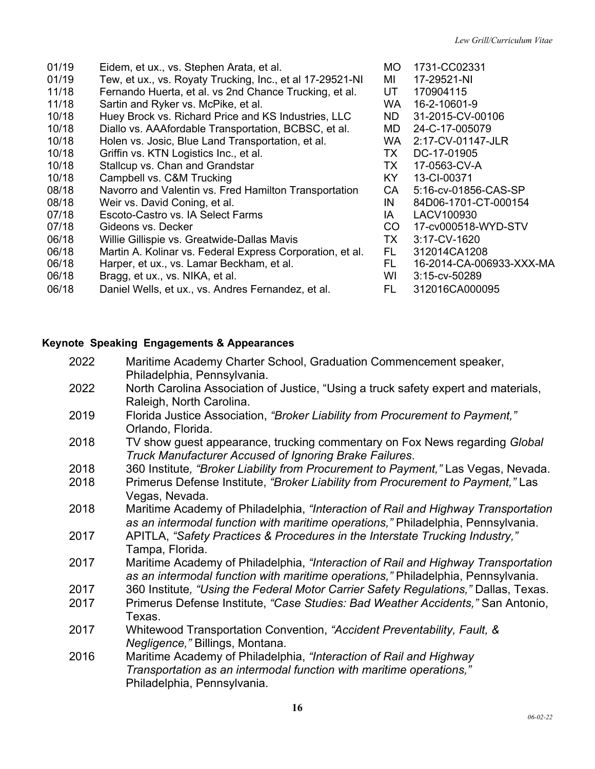- 01/19 Eidem, et ux., vs. Stephen Arata, et al. MO 1731-CC02331 01/19 Tew, et ux., vs. Royaty Trucking, Inc., et al 17-29521-NI MI 17-29521-NI 11/18 Fernando Huerta, et al. vs 2nd Chance Trucking, et al. UT 170904115 11/18 Sartin and Ryker vs. McPike, et al. WA 16-2-10601-9 10/18 Huey Brock vs. Richard Price and KS Industries, LLC ND 31-2015-CV-00106 10/18 Diallo vs. AAAfordable Transportation, BCBSC, et al. MD 24-C-17-005079 10/18 Holen vs. Josic, Blue Land Transportation, et al. WA 2:17-CV-01147-JLR 10/18 Griffin vs. KTN Logistics Inc., et al. TX DC-17-01905 10/18 Stallcup vs. Chan and Grandstar TX 17-0563-CV-A 10/18 Campbell vs. C&M Trucking Campbell vs. C&M Trucking Campbell Vs. Campbell Vs. C&M Trucking Campbell Vs. C 08/18 Navorro and Valentin vs. Fred Hamilton Transportation CA 5:16-cv-01856-CAS-SP 08/18 Weir vs. David Coning, et al. IN 84D06-1701-CT-000154 07/18 Escoto-Castro vs. IA Select Farms **IA** LACV100930 07/18 Gideons vs. Decker CO 17-cv000518-WYD-STV 06/18 Willie Gillispie vs. Greatwide-Dallas Mavis TX 3:17-CV-1620 06/18 Martin A. Kolinar vs. Federal Express Corporation, et al. FL 312014CA1208 06/18 Harper, et ux., vs. Lamar Beckham, et al. FL 16-2014-CA-006933-XXX-MA
- 06/18 Bragg, et ux., vs. NIKA, et al. WI 3:15-cv-50289
- 06/18 Daniel Wells, et ux., vs. Andres Fernandez, et al. FL 312016CA000095
- 
- 
- 

#### **Keynote Speaking Engagements & Appearances**

| 2022 | Maritime Academy Charter School, Graduation Commencement speaker,<br>Philadelphia, Pennsylvania.                                                                      |
|------|-----------------------------------------------------------------------------------------------------------------------------------------------------------------------|
| 2022 | North Carolina Association of Justice, "Using a truck safety expert and materials,<br>Raleigh, North Carolina.                                                        |
| 2019 | Florida Justice Association, "Broker Liability from Procurement to Payment,"<br>Orlando, Florida.                                                                     |
| 2018 | TV show guest appearance, trucking commentary on Fox News regarding Global<br>Truck Manufacturer Accused of Ignoring Brake Failures.                                  |
| 2018 | 360 Institute, "Broker Liability from Procurement to Payment," Las Vegas, Nevada.                                                                                     |
| 2018 | Primerus Defense Institute, "Broker Liability from Procurement to Payment," Las<br>Vegas, Nevada.                                                                     |
| 2018 | Maritime Academy of Philadelphia, "Interaction of Rail and Highway Transportation<br>as an intermodal function with maritime operations," Philadelphia, Pennsylvania. |
| 2017 | APITLA, "Safety Practices & Procedures in the Interstate Trucking Industry,"<br>Tampa, Florida.                                                                       |
| 2017 | Maritime Academy of Philadelphia, "Interaction of Rail and Highway Transportation<br>as an intermodal function with maritime operations," Philadelphia, Pennsylvania. |
| 2017 | 360 Institute, "Using the Federal Motor Carrier Safety Regulations," Dallas, Texas.                                                                                   |
| 2017 | Primerus Defense Institute, "Case Studies: Bad Weather Accidents," San Antonio,<br>Texas.                                                                             |
| 2017 | Whitewood Transportation Convention, "Accident Preventability, Fault, &<br>Negligence," Billings, Montana.                                                            |
| 2016 | Maritime Academy of Philadelphia, "Interaction of Rail and Highway                                                                                                    |
|      | Transportation as an intermodal function with maritime operations,"                                                                                                   |
|      | Philadelphia, Pennsylvania.                                                                                                                                           |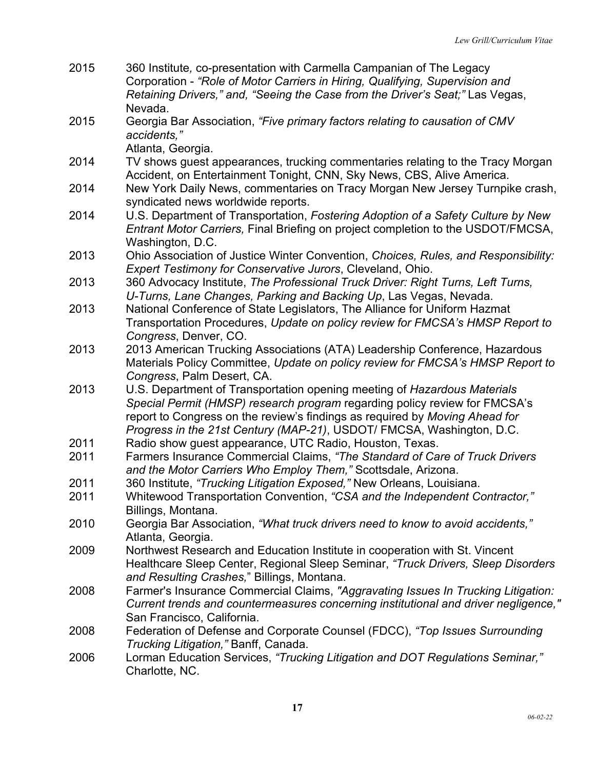2015 360 Institute*,* co-presentation with Carmella Campanian of The Legacy Corporation - *"Role of Motor Carriers in Hiring, Qualifying, Supervision and Retaining Drivers," and, "Seeing the Case from the Driver's Seat;"* Las Vegas, Nevada. 2015 Georgia Bar Association, *"Five primary factors relating to causation of CMV accidents,"* Atlanta, Georgia. 2014 TV shows guest appearances, trucking commentaries relating to the Tracy Morgan Accident, on Entertainment Tonight, CNN, Sky News, CBS, Alive America. 2014 New York Daily News, commentaries on Tracy Morgan New Jersey Turnpike crash, syndicated news worldwide reports. 2014 U.S. Department of Transportation, *Fostering Adoption of a Safety Culture by New Entrant Motor Carriers,* Final Briefing on project completion to the USDOT/FMCSA, Washington, D.C. 2013 Ohio Association of Justice Winter Convention, *Choices, Rules, and Responsibility: Expert Testimony for Conservative Jurors*, Cleveland, Ohio. 2013 360 Advocacy Institute, *The Professional Truck Driver: Right Turns, Left Turns, U-Turns, Lane Changes, Parking and Backing Up*, Las Vegas, Nevada. 2013 National Conference of State Legislators, The Alliance for Uniform Hazmat Transportation Procedures, *Update on policy review for FMCSA's HMSP Report to Congress*, Denver, CO. 2013 2013 American Trucking Associations (ATA) Leadership Conference, Hazardous Materials Policy Committee, *Update on policy review for FMCSA's HMSP Report to Congress*, Palm Desert, CA. 2013 U.S. Department of Transportation opening meeting of *Hazardous Materials Special Permit (HMSP) research program* regarding policy review for FMCSA's report to Congress on the review's findings as required by *Moving Ahead for Progress in the 21st Century (MAP-21)*, USDOT/ FMCSA, Washington, D.C. 2011 Radio show guest appearance, UTC Radio, Houston, Texas. 2011 Farmers Insurance Commercial Claims, *"The Standard of Care of Truck Drivers and the Motor Carriers Who Employ Them,"* Scottsdale, Arizona. 2011 360 Institute, *"Trucking Litigation Exposed,"* New Orleans, Louisiana. 2011 Whitewood Transportation Convention, *"CSA and the Independent Contractor,"* Billings, Montana. 2010 Georgia Bar Association, *"What truck drivers need to know to avoid accidents,"* Atlanta, Georgia. 2009 Northwest Research and Education Institute in cooperation with St. Vincent Healthcare Sleep Center, Regional Sleep Seminar, *"Truck Drivers, Sleep Disorders and Resulting Crashes,*" Billings, Montana. 2008 Farmer's Insurance Commercial Claims, *"Aggravating Issues In Trucking Litigation: Current trends and countermeasures concerning institutional and driver negligence,"*  San Francisco, California. 2008 Federation of Defense and Corporate Counsel (FDCC), *"Top Issues Surrounding Trucking Litigation,"* Banff, Canada. 2006 Lorman Education Services, *"Trucking Litigation and DOT Regulations Seminar,"* Charlotte, NC.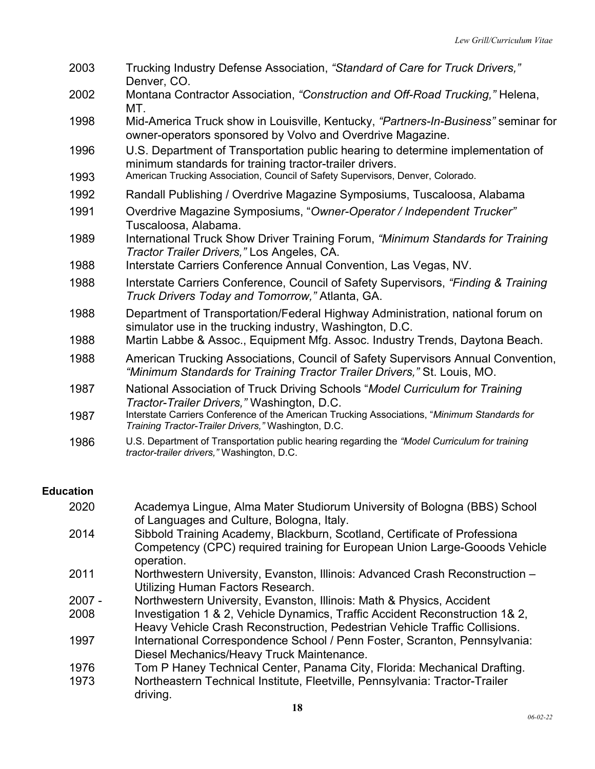| 2003 | Trucking Industry Defense Association, "Standard of Care for Truck Drivers,"<br>Denver, CO.                                                                  |
|------|--------------------------------------------------------------------------------------------------------------------------------------------------------------|
| 2002 | Montana Contractor Association, "Construction and Off-Road Trucking," Helena,<br>MT.                                                                         |
| 1998 | Mid-America Truck show in Louisville, Kentucky, "Partners-In-Business" seminar for<br>owner-operators sponsored by Volvo and Overdrive Magazine.             |
| 1996 | U.S. Department of Transportation public hearing to determine implementation of<br>minimum standards for training tractor-trailer drivers.                   |
| 1993 | American Trucking Association, Council of Safety Supervisors, Denver, Colorado.                                                                              |
| 1992 | Randall Publishing / Overdrive Magazine Symposiums, Tuscaloosa, Alabama                                                                                      |
| 1991 | Overdrive Magazine Symposiums, "Owner-Operator / Independent Trucker"<br>Tuscaloosa, Alabama.                                                                |
| 1989 | International Truck Show Driver Training Forum, "Minimum Standards for Training<br>Tractor Trailer Drivers," Los Angeles, CA.                                |
| 1988 | Interstate Carriers Conference Annual Convention, Las Vegas, NV.                                                                                             |
| 1988 | Interstate Carriers Conference, Council of Safety Supervisors, "Finding & Training<br>Truck Drivers Today and Tomorrow," Atlanta, GA.                        |
| 1988 | Department of Transportation/Federal Highway Administration, national forum on<br>simulator use in the trucking industry, Washington, D.C.                   |
| 1988 | Martin Labbe & Assoc., Equipment Mfg. Assoc. Industry Trends, Daytona Beach.                                                                                 |
| 1988 | American Trucking Associations, Council of Safety Supervisors Annual Convention,<br>"Minimum Standards for Training Tractor Trailer Drivers," St. Louis, MO. |
| 1987 | National Association of Truck Driving Schools "Model Curriculum for Training<br>Tractor-Trailer Drivers," Washington, D.C.                                   |
| 1987 | Interstate Carriers Conference of the American Trucking Associations, "Minimum Standards for<br>Training Tractor-Trailer Drivers," Washington, D.C.          |
| 1986 | U.S. Department of Transportation public hearing regarding the "Model Curriculum for training<br>tractor-trailer drivers," Washington, D.C.                  |

## **Education**

| 2020 | Academya Lingue, Alma Mater Studiorum University of Bologna (BBS) School                 |
|------|------------------------------------------------------------------------------------------|
|      | of Languages and Culture, Bologna, Italy.                                                |
| 2014 | Sibbold Training Academy, Blackburn, Scotland, Certificate of Professiona                |
|      | Competency (CPC) required training for European Union Large-Gooods Vehicle<br>operation. |
| 2011 | Northwestern University, Evanston, Illinois: Advanced Crash Reconstruction -             |
|      | Utilizing Human Factors Research.                                                        |
| 2007 | Northwestern University Evenston Illinois: Math & Dhysics, Assident                      |

- 2007 2008 Northwestern University, Evanston, Illinois: Math & Physics, Accident Investigation 1 & 2, Vehicle Dynamics, Traffic Accident Reconstruction 1& 2,
- Heavy Vehicle Crash Reconstruction, Pedestrian Vehicle Traffic Collisions.
- 1997 International Correspondence School / Penn Foster, Scranton, Pennsylvania: Diesel Mechanics/Heavy Truck Maintenance.
- 1976 Tom P Haney Technical Center, Panama City, Florida: Mechanical Drafting.
- 1973 Northeastern Technical Institute, Fleetville, Pennsylvania: Tractor-Trailer driving.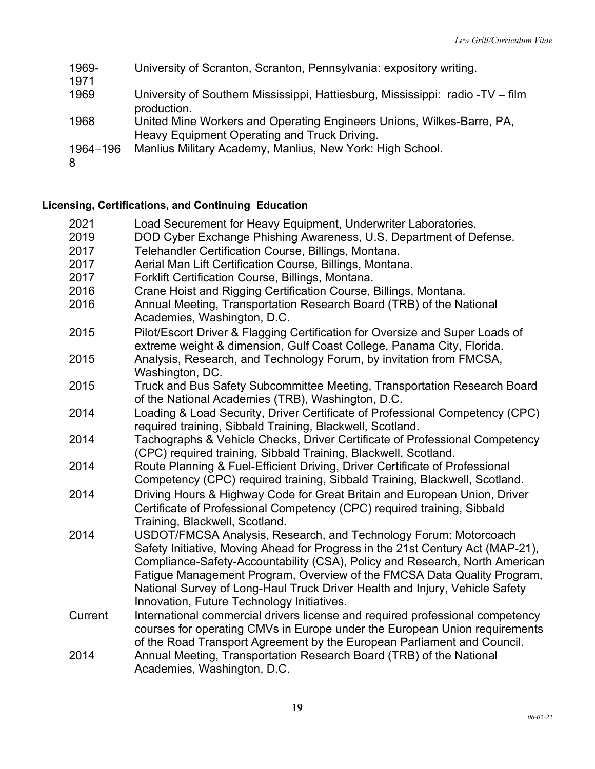| 1969-<br>1971 | University of Scranton, Scranton, Pennsylvania: expository writing.                                                   |
|---------------|-----------------------------------------------------------------------------------------------------------------------|
| 1969          | University of Southern Mississippi, Hattiesburg, Mississippi: radio -TV – film<br>production.                         |
| 1968          | United Mine Workers and Operating Engineers Unions, Wilkes-Barre, PA,<br>Heavy Equipment Operating and Truck Driving. |
| 1964-196<br>8 | Manlius Military Academy, Manlius, New York: High School.                                                             |

# **Licensing, Certifications, and Continuing Education**

| 2021         | Load Securement for Heavy Equipment, Underwriter Laboratories.                                                                                                                                                                                                                                                                                                                                                                            |
|--------------|-------------------------------------------------------------------------------------------------------------------------------------------------------------------------------------------------------------------------------------------------------------------------------------------------------------------------------------------------------------------------------------------------------------------------------------------|
| 2019<br>2017 | DOD Cyber Exchange Phishing Awareness, U.S. Department of Defense.<br>Telehandler Certification Course, Billings, Montana.                                                                                                                                                                                                                                                                                                                |
| 2017         | Aerial Man Lift Certification Course, Billings, Montana.                                                                                                                                                                                                                                                                                                                                                                                  |
| 2017         | Forklift Certification Course, Billings, Montana.                                                                                                                                                                                                                                                                                                                                                                                         |
| 2016         | Crane Hoist and Rigging Certification Course, Billings, Montana.                                                                                                                                                                                                                                                                                                                                                                          |
| 2016         | Annual Meeting, Transportation Research Board (TRB) of the National<br>Academies, Washington, D.C.                                                                                                                                                                                                                                                                                                                                        |
| 2015         | Pilot/Escort Driver & Flagging Certification for Oversize and Super Loads of<br>extreme weight & dimension, Gulf Coast College, Panama City, Florida.                                                                                                                                                                                                                                                                                     |
| 2015         | Analysis, Research, and Technology Forum, by invitation from FMCSA,<br>Washington, DC.                                                                                                                                                                                                                                                                                                                                                    |
| 2015         | Truck and Bus Safety Subcommittee Meeting, Transportation Research Board<br>of the National Academies (TRB), Washington, D.C.                                                                                                                                                                                                                                                                                                             |
| 2014         | Loading & Load Security, Driver Certificate of Professional Competency (CPC)<br>required training, Sibbald Training, Blackwell, Scotland.                                                                                                                                                                                                                                                                                                 |
| 2014         | Tachographs & Vehicle Checks, Driver Certificate of Professional Competency<br>(CPC) required training, Sibbald Training, Blackwell, Scotland.                                                                                                                                                                                                                                                                                            |
| 2014         | Route Planning & Fuel-Efficient Driving, Driver Certificate of Professional<br>Competency (CPC) required training, Sibbald Training, Blackwell, Scotland.                                                                                                                                                                                                                                                                                 |
| 2014         | Driving Hours & Highway Code for Great Britain and European Union, Driver<br>Certificate of Professional Competency (CPC) required training, Sibbald<br>Training, Blackwell, Scotland.                                                                                                                                                                                                                                                    |
| 2014         | USDOT/FMCSA Analysis, Research, and Technology Forum: Motorcoach<br>Safety Initiative, Moving Ahead for Progress in the 21st Century Act (MAP-21),<br>Compliance-Safety-Accountability (CSA), Policy and Research, North American<br>Fatigue Management Program, Overview of the FMCSA Data Quality Program,<br>National Survey of Long-Haul Truck Driver Health and Injury, Vehicle Safety<br>Innovation, Future Technology Initiatives. |
| Current      | International commercial drivers license and required professional competency<br>courses for operating CMVs in Europe under the European Union requirements<br>of the Road Transport Agreement by the European Parliament and Council.                                                                                                                                                                                                    |
| 2014         | Annual Meeting, Transportation Research Board (TRB) of the National<br>Academies, Washington, D.C.                                                                                                                                                                                                                                                                                                                                        |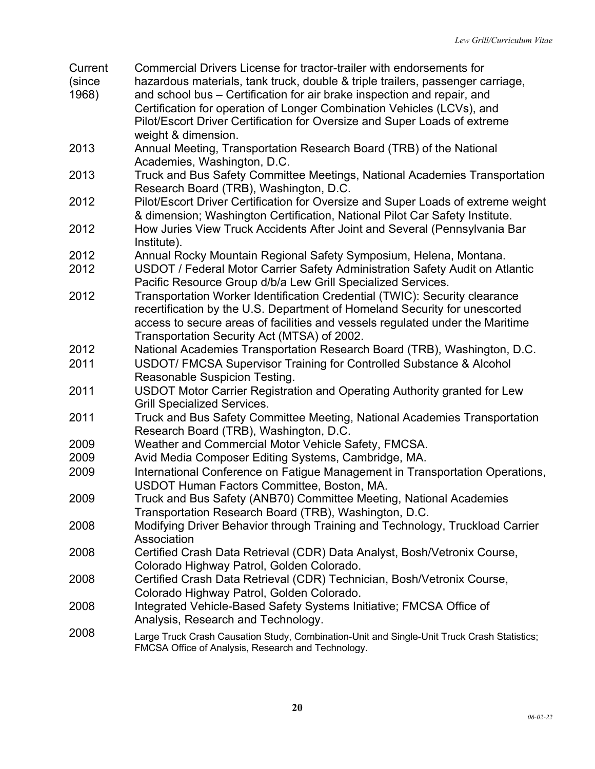| Current | Commercial Drivers License for tractor-trailer with endorsements for                        |
|---------|---------------------------------------------------------------------------------------------|
| (since  | hazardous materials, tank truck, double & triple trailers, passenger carriage,              |
| 1968)   | and school bus – Certification for air brake inspection and repair, and                     |
|         | Certification for operation of Longer Combination Vehicles (LCVs), and                      |
|         | Pilot/Escort Driver Certification for Oversize and Super Loads of extreme                   |
|         | weight & dimension.                                                                         |
| 2013    | Annual Meeting, Transportation Research Board (TRB) of the National                         |
|         | Academies, Washington, D.C.                                                                 |
| 2013    | Truck and Bus Safety Committee Meetings, National Academies Transportation                  |
|         | Research Board (TRB), Washington, D.C.                                                      |
| 2012    | Pilot/Escort Driver Certification for Oversize and Super Loads of extreme weight            |
|         | & dimension; Washington Certification, National Pilot Car Safety Institute.                 |
| 2012    | How Juries View Truck Accidents After Joint and Several (Pennsylvania Bar                   |
|         | Institute).                                                                                 |
| 2012    | Annual Rocky Mountain Regional Safety Symposium, Helena, Montana.                           |
| 2012    | USDOT / Federal Motor Carrier Safety Administration Safety Audit on Atlantic                |
|         | Pacific Resource Group d/b/a Lew Grill Specialized Services.                                |
| 2012    | Transportation Worker Identification Credential (TWIC): Security clearance                  |
|         | recertification by the U.S. Department of Homeland Security for unescorted                  |
|         | access to secure areas of facilities and vessels regulated under the Maritime               |
|         | Transportation Security Act (MTSA) of 2002.                                                 |
| 2012    | National Academies Transportation Research Board (TRB), Washington, D.C.                    |
| 2011    | USDOT/ FMCSA Supervisor Training for Controlled Substance & Alcohol                         |
|         | Reasonable Suspicion Testing.                                                               |
| 2011    | USDOT Motor Carrier Registration and Operating Authority granted for Lew                    |
|         | <b>Grill Specialized Services.</b>                                                          |
| 2011    | Truck and Bus Safety Committee Meeting, National Academies Transportation                   |
|         | Research Board (TRB), Washington, D.C.                                                      |
| 2009    | Weather and Commercial Motor Vehicle Safety, FMCSA.                                         |
| 2009    | Avid Media Composer Editing Systems, Cambridge, MA.                                         |
| 2009    | International Conference on Fatigue Management in Transportation Operations,                |
|         | USDOT Human Factors Committee, Boston, MA.                                                  |
| 2009    | Truck and Bus Safety (ANB70) Committee Meeting, National Academies                          |
|         | Transportation Research Board (TRB), Washington, D.C.                                       |
| 2008    | Modifying Driver Behavior through Training and Technology, Truckload Carrier                |
|         | Association                                                                                 |
| 2008    | Certified Crash Data Retrieval (CDR) Data Analyst, Bosh/Vetronix Course,                    |
|         | Colorado Highway Patrol, Golden Colorado.                                                   |
| 2008    | Certified Crash Data Retrieval (CDR) Technician, Bosh/Vetronix Course,                      |
|         | Colorado Highway Patrol, Golden Colorado.                                                   |
| 2008    | Integrated Vehicle-Based Safety Systems Initiative; FMCSA Office of                         |
|         | Analysis, Research and Technology.                                                          |
| 2008    | Large Truck Crash Causation Study, Combination-Unit and Single-Unit Truck Crash Statistics; |
|         | FMCSA Office of Analysis, Research and Technology.                                          |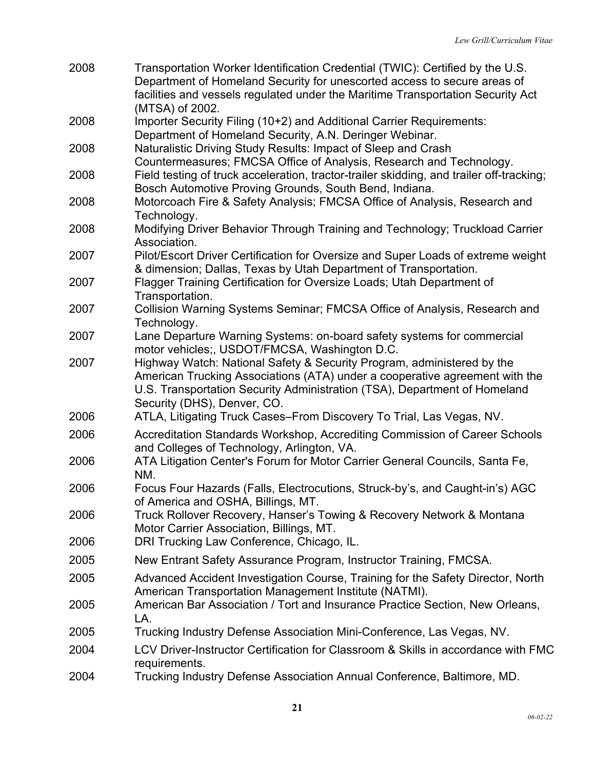| 2008 | Transportation Worker Identification Credential (TWIC): Certified by the U.S.<br>Department of Homeland Security for unescorted access to secure areas of<br>facilities and vessels regulated under the Maritime Transportation Security Act                      |
|------|-------------------------------------------------------------------------------------------------------------------------------------------------------------------------------------------------------------------------------------------------------------------|
|      | (MTSA) of 2002.                                                                                                                                                                                                                                                   |
| 2008 | Importer Security Filing (10+2) and Additional Carrier Requirements:                                                                                                                                                                                              |
|      | Department of Homeland Security, A.N. Deringer Webinar.                                                                                                                                                                                                           |
| 2008 | Naturalistic Driving Study Results: Impact of Sleep and Crash                                                                                                                                                                                                     |
| 2008 | Countermeasures; FMCSA Office of Analysis, Research and Technology.<br>Field testing of truck acceleration, tractor-trailer skidding, and trailer off-tracking;<br>Bosch Automotive Proving Grounds, South Bend, Indiana.                                         |
| 2008 | Motorcoach Fire & Safety Analysis; FMCSA Office of Analysis, Research and<br>Technology.                                                                                                                                                                          |
| 2008 | Modifying Driver Behavior Through Training and Technology; Truckload Carrier<br>Association.                                                                                                                                                                      |
| 2007 | Pilot/Escort Driver Certification for Oversize and Super Loads of extreme weight                                                                                                                                                                                  |
|      | & dimension; Dallas, Texas by Utah Department of Transportation.                                                                                                                                                                                                  |
| 2007 | Flagger Training Certification for Oversize Loads; Utah Department of<br>Transportation.                                                                                                                                                                          |
| 2007 | Collision Warning Systems Seminar; FMCSA Office of Analysis, Research and<br>Technology.                                                                                                                                                                          |
| 2007 | Lane Departure Warning Systems: on-board safety systems for commercial<br>motor vehicles;, USDOT/FMCSA, Washington D.C.                                                                                                                                           |
| 2007 | Highway Watch: National Safety & Security Program, administered by the<br>American Trucking Associations (ATA) under a cooperative agreement with the<br>U.S. Transportation Security Administration (TSA), Department of Homeland<br>Security (DHS), Denver, CO. |
| 2006 | ATLA, Litigating Truck Cases-From Discovery To Trial, Las Vegas, NV.                                                                                                                                                                                              |
| 2006 | Accreditation Standards Workshop, Accrediting Commission of Career Schools<br>and Colleges of Technology, Arlington, VA.                                                                                                                                          |
| 2006 | ATA Litigation Center's Forum for Motor Carrier General Councils, Santa Fe,<br>NM.                                                                                                                                                                                |
| 2006 | Focus Four Hazards (Falls, Electrocutions, Struck-by's, and Caught-in's) AGC<br>of America and OSHA, Billings, MT.                                                                                                                                                |
| 2006 | Truck Rollover Recovery, Hanser's Towing & Recovery Network & Montana<br>Motor Carrier Association, Billings, MT.                                                                                                                                                 |
| 2006 | DRI Trucking Law Conference, Chicago, IL.                                                                                                                                                                                                                         |
| 2005 | New Entrant Safety Assurance Program, Instructor Training, FMCSA.                                                                                                                                                                                                 |
| 2005 | Advanced Accident Investigation Course, Training for the Safety Director, North<br>American Transportation Management Institute (NATMI).                                                                                                                          |
| 2005 | American Bar Association / Tort and Insurance Practice Section, New Orleans,<br>LA.                                                                                                                                                                               |
| 2005 | Trucking Industry Defense Association Mini-Conference, Las Vegas, NV.                                                                                                                                                                                             |
| 2004 | LCV Driver-Instructor Certification for Classroom & Skills in accordance with FMC<br>requirements.                                                                                                                                                                |
| 2004 | Trucking Industry Defense Association Annual Conference, Baltimore, MD.                                                                                                                                                                                           |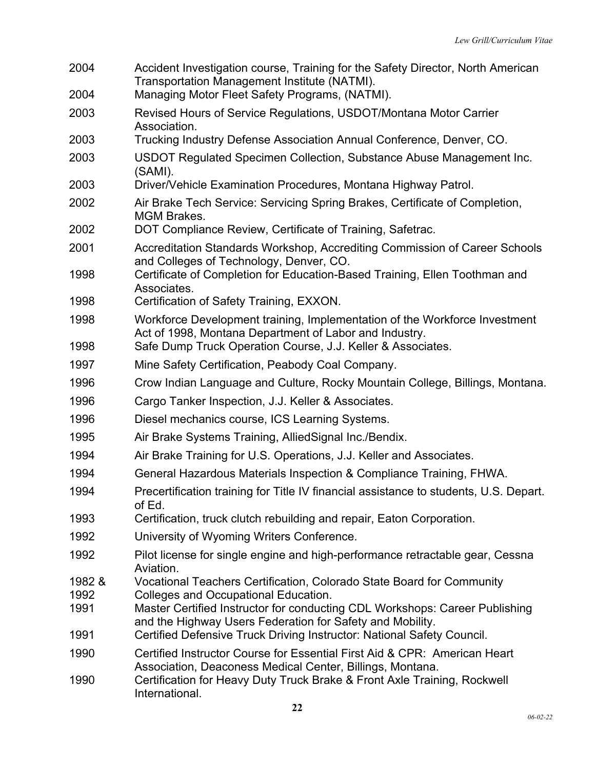Accident Investigation course, Training for the Safety Director, North American Transportation Management Institute (NATMI). Managing Motor Fleet Safety Programs, (NATMI). Revised Hours of Service Regulations, USDOT/Montana Motor Carrier Association. Trucking Industry Defense Association Annual Conference, Denver, CO. USDOT Regulated Specimen Collection, Substance Abuse Management Inc. (SAMI). Driver/Vehicle Examination Procedures, Montana Highway Patrol. Air Brake Tech Service: Servicing Spring Brakes, Certificate of Completion, MGM Brakes. DOT Compliance Review, Certificate of Training, Safetrac. Accreditation Standards Workshop, Accrediting Commission of Career Schools and Colleges of Technology, Denver, CO. Certificate of Completion for Education-Based Training, Ellen Toothman and Associates. Certification of Safety Training, EXXON. Workforce Development training, Implementation of the Workforce Investment Act of 1998, Montana Department of Labor and Industry. Safe Dump Truck Operation Course, J.J. Keller & Associates. Mine Safety Certification, Peabody Coal Company. Crow Indian Language and Culture, Rocky Mountain College, Billings, Montana. Cargo Tanker Inspection, J.J. Keller & Associates. Diesel mechanics course, ICS Learning Systems. Air Brake Systems Training, AlliedSignal Inc./Bendix. Air Brake Training for U.S. Operations, J.J. Keller and Associates. General Hazardous Materials Inspection & Compliance Training, FHWA. Precertification training for Title IV financial assistance to students, U.S. Depart. of Ed. Certification, truck clutch rebuilding and repair, Eaton Corporation. University of Wyoming Writers Conference. Pilot license for single engine and high-performance retractable gear, Cessna Aviation. 1982 & Vocational Teachers Certification, Colorado State Board for Community Colleges and Occupational Education. Master Certified Instructor for conducting CDL Workshops: Career Publishing and the Highway Users Federation for Safety and Mobility. Certified Defensive Truck Driving Instructor: National Safety Council. Certified Instructor Course for Essential First Aid & CPR: American Heart Association, Deaconess Medical Center, Billings, Montana. Certification for Heavy Duty Truck Brake & Front Axle Training, Rockwell International.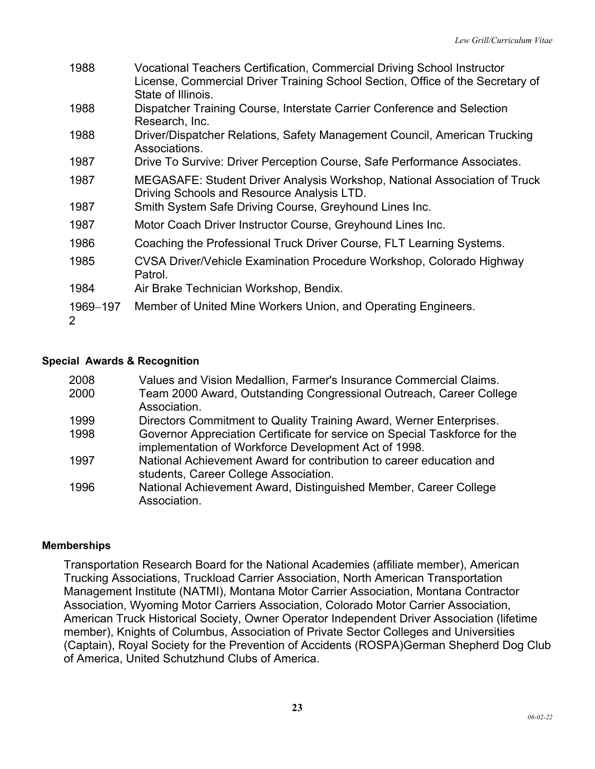| 1988          | Vocational Teachers Certification, Commercial Driving School Instructor<br>License, Commercial Driver Training School Section, Office of the Secretary of<br>State of Illinois. |
|---------------|---------------------------------------------------------------------------------------------------------------------------------------------------------------------------------|
| 1988          | Dispatcher Training Course, Interstate Carrier Conference and Selection<br>Research, Inc.                                                                                       |
| 1988          | Driver/Dispatcher Relations, Safety Management Council, American Trucking<br>Associations.                                                                                      |
| 1987          | Drive To Survive: Driver Perception Course, Safe Performance Associates.                                                                                                        |
| 1987          | MEGASAFE: Student Driver Analysis Workshop, National Association of Truck<br>Driving Schools and Resource Analysis LTD.                                                         |
| 1987          | Smith System Safe Driving Course, Greyhound Lines Inc.                                                                                                                          |
| 1987          | Motor Coach Driver Instructor Course, Greyhound Lines Inc.                                                                                                                      |
| 1986          | Coaching the Professional Truck Driver Course, FLT Learning Systems.                                                                                                            |
| 1985          | CVSA Driver/Vehicle Examination Procedure Workshop, Colorado Highway<br>Patrol.                                                                                                 |
| 1984          | Air Brake Technician Workshop, Bendix.                                                                                                                                          |
| 1969-197<br>2 | Member of United Mine Workers Union, and Operating Engineers.                                                                                                                   |

## **Special Awards & Recognition**

| 2008 | Values and Vision Medallion, Farmer's Insurance Commercial Claims.                                                                 |
|------|------------------------------------------------------------------------------------------------------------------------------------|
| 2000 | Team 2000 Award, Outstanding Congressional Outreach, Career College<br>Association.                                                |
| 1999 | Directors Commitment to Quality Training Award, Werner Enterprises.                                                                |
| 1998 | Governor Appreciation Certificate for service on Special Taskforce for the<br>implementation of Workforce Development Act of 1998. |
| 1997 | National Achievement Award for contribution to career education and<br>students, Career College Association.                       |
| 1996 | National Achievement Award, Distinguished Member, Career College<br>Association.                                                   |

### **Memberships**

Transportation Research Board for the National Academies (affiliate member), American Trucking Associations, Truckload Carrier Association, North American Transportation Management Institute (NATMI), Montana Motor Carrier Association, Montana Contractor Association, Wyoming Motor Carriers Association, Colorado Motor Carrier Association, American Truck Historical Society, Owner Operator Independent Driver Association (lifetime member), Knights of Columbus, Association of Private Sector Colleges and Universities (Captain), Royal Society for the Prevention of Accidents (ROSPA)German Shepherd Dog Club of America, United Schutzhund Clubs of America.